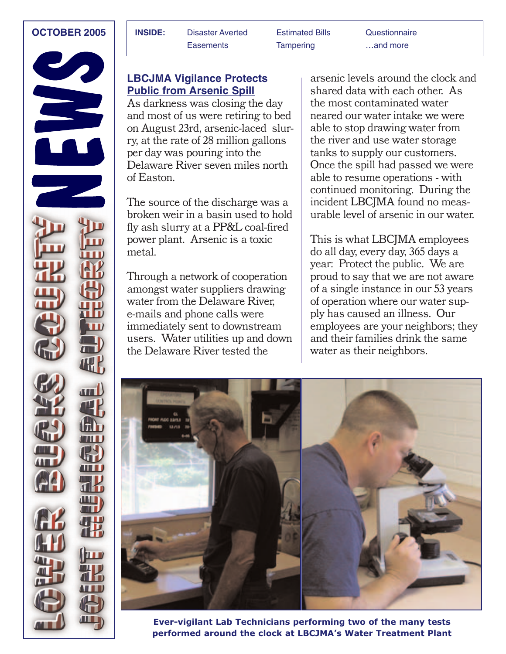

| <b>OCTOBER 2005</b> | <b>INSIDE:</b> | <b>Disaster Averted</b> | <b>Estimated Bills</b> | Questionnaire |
|---------------------|----------------|-------------------------|------------------------|---------------|
|                     |                | Easements               | Tampering              | and more      |

### **LBCJMA Vigilance Protects Public from Arsenic Spill**

As darkness was closing the day and most of us were retiring to bed on August 23rd, arsenic-laced slurry, at the rate of 28 million gallons per day was pouring into the Delaware River seven miles north of Easton.

The source of the discharge was a broken weir in a basin used to hold fly ash slurry at a PP&L coal-fired power plant. Arsenic is a toxic metal.

Through a network of cooperation amongst water suppliers drawing water from the Delaware River, e-mails and phone calls were immediately sent to downstream users. Water utilities up and down the Delaware River tested the

arsenic levels around the clock and shared data with each other. As the most contaminated water neared our water intake we were able to stop drawing water from the river and use water storage tanks to supply our customers. Once the spill had passed we were able to resume operations - with continued monitoring. During the incident LBCJMA found no measurable level of arsenic in our water.

This is what LBCJMA employees do all day, every day, 365 days a year: Protect the public. We are proud to say that we are not aware of a single instance in our 53 years of operation where our water supply has caused an illness. Our employees are your neighbors; they and their families drink the same water as their neighbors.



**Ever-vigilant Lab Technicians performing two of the many tests performed around the clock at LBCJMA's Water Treatment Plant**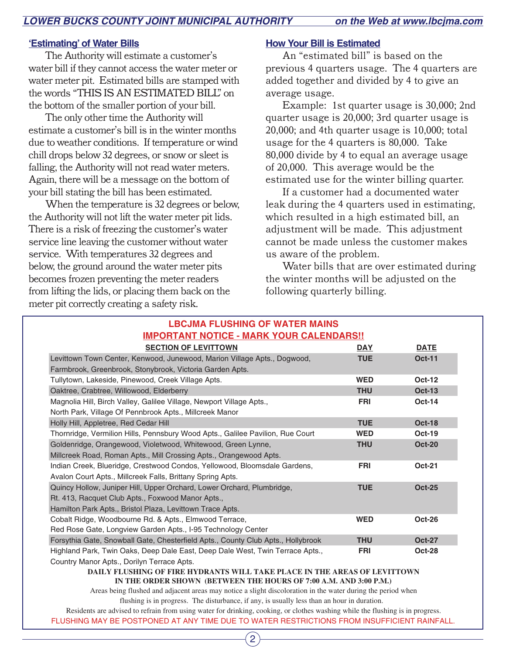#### **'Estimating' of Water Bills**

The Authority will estimate a customer's water bill if they cannot access the water meter or water meter pit. Estimated bills are stamped with the words "THIS IS AN ESTIMATED BILL" on the bottom of the smaller portion of your bill.

The only other time the Authority will estimate a customer's bill is in the winter months due to weather conditions. If temperature or wind chill drops below 32 degrees, or snow or sleet is falling, the Authority will not read water meters. Again, there will be a message on the bottom of your bill stating the bill has been estimated.

When the temperature is 32 degrees or below, the Authority will not lift the water meter pit lids. There is a risk of freezing the customer's water service line leaving the customer without water service. With temperatures 32 degrees and below, the ground around the water meter pits becomes frozen preventing the meter readers from lifting the lids, or placing them back on the meter pit correctly creating a safety risk.

#### **How Your Bill is Estimated**

An "estimated bill" is based on the previous 4 quarters usage. The 4 quarters are added together and divided by 4 to give an average usage.

Example: 1st quarter usage is 30,000; 2nd quarter usage is 20,000; 3rd quarter usage is 20,000; and 4th quarter usage is 10,000; total usage for the 4 quarters is 80,000. Take 80,000 divide by 4 to equal an average usage of 20,000. This average would be the estimated use for the winter billing quarter.

If a customer had a documented water leak during the 4 quarters used in estimating, which resulted in a high estimated bill, an adjustment will be made. This adjustment cannot be made unless the customer makes us aware of the problem.

Water bills that are over estimated during the winter months will be adjusted on the following quarterly billing.

| <b>LBCJMA FLUSHING OF WATER MAINS</b>                                                                       |            |               |  |  |
|-------------------------------------------------------------------------------------------------------------|------------|---------------|--|--|
| <b>IMPORTANT NOTICE - MARK YOUR CALENDARS!!</b>                                                             |            |               |  |  |
| <b>SECTION OF LEVITTOWN</b>                                                                                 | <b>DAY</b> | <b>DATE</b>   |  |  |
| Levittown Town Center, Kenwood, Junewood, Marion Village Apts., Dogwood,                                    | <b>TUE</b> | <b>Oct-11</b> |  |  |
| Farmbrook, Greenbrook, Stonybrook, Victoria Garden Apts.                                                    |            |               |  |  |
| Tullytown, Lakeside, Pinewood, Creek Village Apts.                                                          | <b>WED</b> | <b>Oct-12</b> |  |  |
| Oaktree, Crabtree, Willowood, Elderberry                                                                    | <b>THU</b> | <b>Oct-13</b> |  |  |
| Magnolia Hill, Birch Valley, Galilee Village, Newport Village Apts.,                                        | <b>FRI</b> | $Oct-14$      |  |  |
| North Park, Village Of Pennbrook Apts., Millcreek Manor                                                     |            |               |  |  |
| Holly Hill, Appletree, Red Cedar Hill                                                                       | <b>TUE</b> | <b>Oct-18</b> |  |  |
| Thornridge, Vermilion Hills, Pennsbury Wood Apts., Galilee Pavilion, Rue Court                              | <b>WED</b> | <b>Oct-19</b> |  |  |
| Goldenridge, Orangewood, Violetwood, Whitewood, Green Lynne,                                                | <b>THU</b> | <b>Oct-20</b> |  |  |
| Millcreek Road, Roman Apts., Mill Crossing Apts., Orangewood Apts.                                          |            |               |  |  |
| Indian Creek, Blueridge, Crestwood Condos, Yellowood, Bloomsdale Gardens,                                   | <b>FRI</b> | <b>Oct-21</b> |  |  |
| Avalon Court Apts., Millcreek Falls, Brittany Spring Apts.                                                  |            |               |  |  |
| Quincy Hollow, Juniper Hill, Upper Orchard, Lower Orchard, Plumbridge,                                      | <b>TUE</b> | <b>Oct-25</b> |  |  |
| Rt. 413, Racquet Club Apts., Foxwood Manor Apts.,                                                           |            |               |  |  |
| Hamilton Park Apts., Bristol Plaza, Levittown Trace Apts.                                                   |            |               |  |  |
| Cobalt Ridge, Woodbourne Rd. & Apts., Elmwood Terrace,                                                      | <b>WED</b> | <b>Oct-26</b> |  |  |
| Red Rose Gate, Longview Garden Apts., I-95 Technology Center                                                |            |               |  |  |
| Forsythia Gate, Snowball Gate, Chesterfield Apts., County Club Apts., Hollybrook                            | <b>THU</b> | <b>Oct-27</b> |  |  |
| Highland Park, Twin Oaks, Deep Dale East, Deep Dale West, Twin Terrace Apts.,                               | <b>FRI</b> | <b>Oct-28</b> |  |  |
| Country Manor Apts., Dorilyn Terrace Apts.                                                                  |            |               |  |  |
| DAILY FLUSHING OF FIRE HYDRANTS WILL TAKE PLACE IN THE AREAS OF LEVITTOWN                                   |            |               |  |  |
| IN THE ORDER SHOWN (BETWEEN THE HOURS OF 7:00 A.M. AND 3:00 P.M.)                                           |            |               |  |  |
| Agoo haing fluched and edicacut quees moy notice a clight discologation in the water during the newigd when |            |               |  |  |

Areas being flushed and adjacent areas may notice a slight discoloration in the water during the period when flushing is in progress. The disturbance, if any, is usually less than an hour in duration.

FLUSHING MAY BE POSTPONED AT ANY TIME DUE TO WATER RESTRICTIONS FROM INSUFFICIENT RAINFALL. Residents are advised to refrain from using water for drinking, cooking, or clothes washing while the flushing is in progress.

2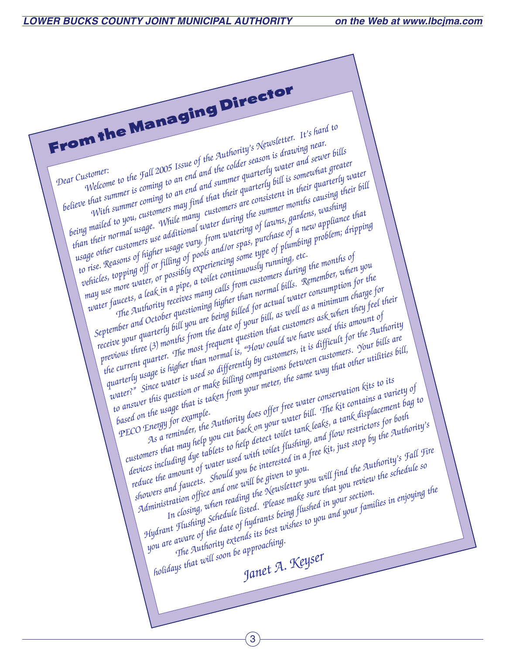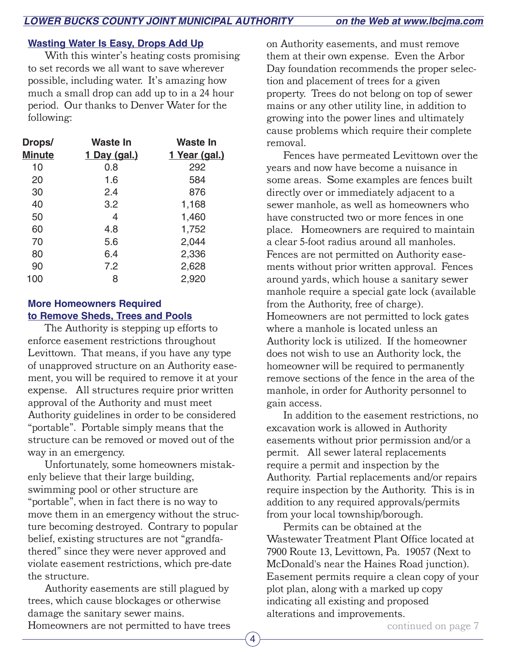#### **Wasting Water Is Easy, Drops Add Up**

With this winter's heating costs promising to set records we all want to save wherever possible, including water. It's amazing how much a small drop can add up to in a 24 hour period. Our thanks to Denver Water for the following:

| Waste In            | Waste In             |
|---------------------|----------------------|
| <u>1 Day (gal.)</u> | <u>1 Year (gal.)</u> |
| 0.8                 | 292                  |
| 1.6                 | 584                  |
| 2.4                 | 876                  |
| 3.2                 | 1,168                |
| 4                   | 1,460                |
| 4.8                 | 1,752                |
| 5.6                 | 2,044                |
| 6.4                 | 2,336                |
| 7.2                 | 2,628                |
| 8                   | 2,920                |
|                     |                      |

#### **More Homeowners Required to Remove Sheds, Trees and Pools**

The Authority is stepping up efforts to enforce easement restrictions throughout Levittown. That means, if you have any type of unapproved structure on an Authority easement, you will be required to remove it at your expense. All structures require prior written approval of the Authority and must meet Authority guidelines in order to be considered "portable". Portable simply means that the structure can be removed or moved out of the way in an emergency.

Unfortunately, some homeowners mistakenly believe that their large building, swimming pool or other structure are "portable", when in fact there is no way to move them in an emergency without the structure becoming destroyed. Contrary to popular belief, existing structures are not "grandfathered" since they were never approved and violate easement restrictions, which pre-date the structure.

Authority easements are still plagued by trees, which cause blockages or otherwise damage the sanitary sewer mains. Homeowners are not permitted to have trees

on Authority easements, and must remove them at their own expense. Even the Arbor Day foundation recommends the proper selection and placement of trees for a given property. Trees do not belong on top of sewer mains or any other utility line, in addition to growing into the power lines and ultimately cause problems which require their complete removal.

Fences have permeated Levittown over the years and now have become a nuisance in some areas. Some examples are fences built directly over or immediately adjacent to a sewer manhole, as well as homeowners who have constructed two or more fences in one place. Homeowners are required to maintain a clear 5-foot radius around all manholes. Fences are not permitted on Authority easements without prior written approval. Fences around yards, which house a sanitary sewer manhole require a special gate lock (available from the Authority, free of charge). Homeowners are not permitted to lock gates where a manhole is located unless an Authority lock is utilized. If the homeowner does not wish to use an Authority lock, the homeowner will be required to permanently remove sections of the fence in the area of the manhole, in order for Authority personnel to gain access.

In addition to the easement restrictions, no excavation work is allowed in Authority easements without prior permission and/or a permit. All sewer lateral replacements require a permit and inspection by the Authority. Partial replacements and/or repairs require inspection by the Authority. This is in addition to any required approvals/permits from your local township/borough.

Permits can be obtained at the Wastewater Treatment Plant Office located at 7900 Route 13, Levittown, Pa. 19057 (Next to McDonald's near the Haines Road junction). Easement permits require a clean copy of your plot plan, along with a marked up copy indicating all existing and proposed alterations and improvements.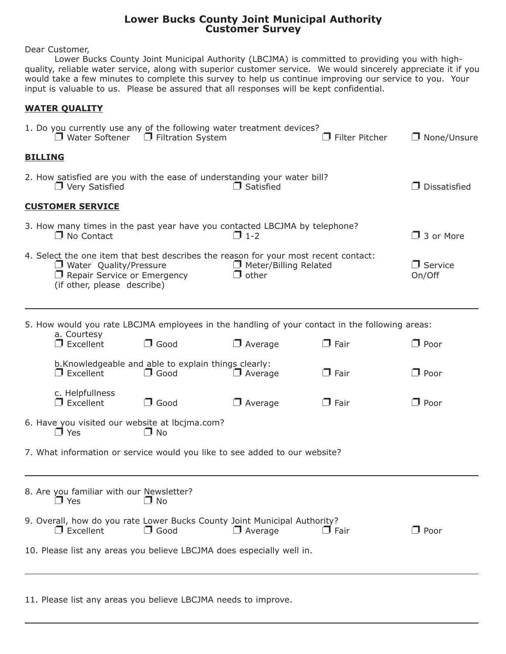#### **Lower Bucks County Joint Municipal Authority Customer Survey**

Dear Customer,

Lower Bucks County Joint Municipal Authority (LBCJMA) is committed to providing you with highquality, reliable water service, along with superior customer service. We would sincerely appreciate it if you would take a few minutes to complete this survey to help us continue improving our service to you. Your input is valuable to us. Please be assured that all responses will be kept confidential.

#### **WATER QUALITY**

| 1. Do you currently use any of the following water treatment devices?<br>$\Box$ Water Softener $\Box$ Filtration System  |                                                                                                                                                                                                                                    |             |                  | $\Box$ Filter Pitcher | $\Box$ None/Unsure  |  |
|--------------------------------------------------------------------------------------------------------------------------|------------------------------------------------------------------------------------------------------------------------------------------------------------------------------------------------------------------------------------|-------------|------------------|-----------------------|---------------------|--|
|                                                                                                                          | <b>BILLING</b>                                                                                                                                                                                                                     |             |                  |                       |                     |  |
|                                                                                                                          | 2. How satisfied are you with the ease of understanding your water bill?<br>$\Box$ Very Satisfied                                                                                                                                  |             | $\Box$ Satisfied |                       | $\Box$ Dissatisfied |  |
|                                                                                                                          | <b>CUSTOMER SERVICE</b>                                                                                                                                                                                                            |             |                  |                       |                     |  |
|                                                                                                                          | 3. How many times in the past year have you contacted LBCJMA by telephone?<br>$\Box$ 1-2<br>$\Box$ No Contact                                                                                                                      |             |                  |                       |                     |  |
|                                                                                                                          | 4. Select the one item that best describes the reason for your most recent contact:<br>Meter/Billing Related<br>$\Box$ Water Quality/Pressure<br>$\Box$ other<br>$\Box$ Repair Service or Emergency<br>(if other, please describe) |             |                  |                       |                     |  |
|                                                                                                                          | 5. How would you rate LBCJMA employees in the handling of your contact in the following areas:<br>a. Courtesy                                                                                                                      |             |                  |                       |                     |  |
|                                                                                                                          | $\Box$ Excellent                                                                                                                                                                                                                   | $\Box$ Good | $\Box$ Average   | $\Box$ Fair           | $\Box$ Poor         |  |
| b. Knowledgeable and able to explain things clearly:<br>$\Box$ Excellent<br>$\Box$ Good<br>$\Box$ Average<br>$\Box$ Fair |                                                                                                                                                                                                                                    |             |                  |                       | $\Box$ Poor         |  |
|                                                                                                                          | c. Helpfullness<br>$\Box$ Excellent                                                                                                                                                                                                | $\Box$ Good | $\Box$ Average   | $\Box$ Fair           | $\Box$ Poor         |  |
|                                                                                                                          | 6. Have you visited our website at lbcjma.com?<br>$\Box$ Yes<br>$\Box$ No                                                                                                                                                          |             |                  |                       |                     |  |
|                                                                                                                          | 7. What information or service would you like to see added to our website?                                                                                                                                                         |             |                  |                       |                     |  |
|                                                                                                                          | 8. Are you familiar with our Newsletter?<br>$\Box$ Yes                                                                                                                                                                             | $\Box$ No   |                  |                       |                     |  |
|                                                                                                                          | 9. Overall, how do you rate Lower Bucks County Joint Municipal Authority?<br>$\Box$ Excellent                                                                                                                                      | $\Box$ Good | $\Box$ Average   | $\Box$ Fair           | $\Box$ Poor         |  |
|                                                                                                                          | 10. Please list any areas you believe LBCJMA does especially well in.                                                                                                                                                              |             |                  |                       |                     |  |
|                                                                                                                          |                                                                                                                                                                                                                                    |             |                  |                       |                     |  |

11. Please list any areas you believe LBCJMA needs to improve.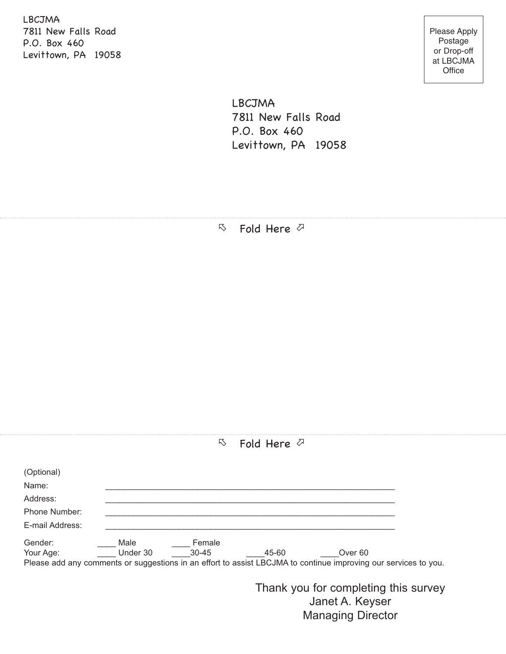LBCJMA 7811 New Falls Road P.O. Box 460 Levittown, PA 19058

Please Apply Postage or Drop-off at LBCJMA **Office** 

LBCJMA 7811 New Falls Road P.O. Box 460 Levittown, PA 19058

 $\nabla$  Fold Here  $\nabla$ 

| 乃 |  | Fold Here $\oslash$ |  |
|---|--|---------------------|--|
|---|--|---------------------|--|

| (Optional)           |                  |                     |       |                                                                                                                 |  |
|----------------------|------------------|---------------------|-------|-----------------------------------------------------------------------------------------------------------------|--|
| Name:                |                  |                     |       |                                                                                                                 |  |
| Address:             |                  |                     |       |                                                                                                                 |  |
| Phone Number:        |                  |                     |       |                                                                                                                 |  |
| E-mail Address:      |                  |                     |       |                                                                                                                 |  |
| Gender:<br>Your Age: | Male<br>Under 30 | Female<br>$30 - 45$ | 45-60 | Over 60                                                                                                         |  |
|                      |                  |                     |       | Please add any comments or suggestions in an effort to assist LBCJMA to continue improving our services to you. |  |
|                      |                  |                     |       | Thank you for completing this survey<br>lanot A Kovsor                                                          |  |

Janet A. Keyser Managing Director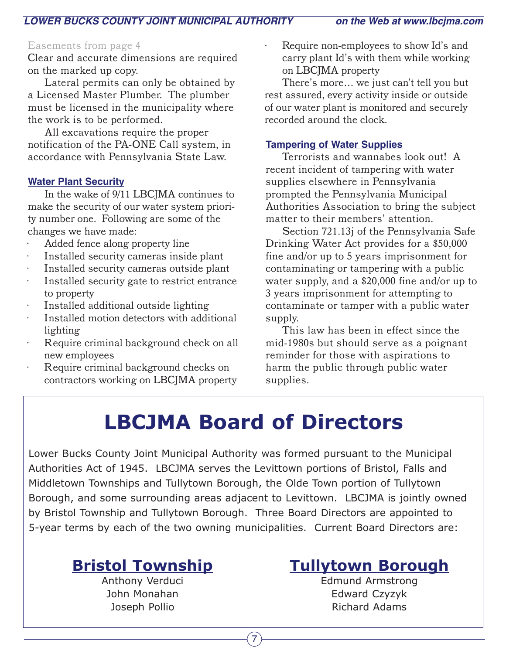#### Easements from page 4

Clear and accurate dimensions are required on the marked up copy.

Lateral permits can only be obtained by a Licensed Master Plumber. The plumber must be licensed in the municipality where the work is to be performed.

All excavations require the proper notification of the PA-ONE Call system, in accordance with Pennsylvania State Law.

#### **Water Plant Security**

In the wake of 9/11 LBCJMA continues to make the security of our water system priority number one. Following are some of the changes we have made:

- Added fence along property line
- Installed security cameras inside plant
- · Installed security cameras outside plant
- · Installed security gate to restrict entrance to property
- Installed additional outside lighting
- Installed motion detectors with additional lighting
- Require criminal background check on all new employees
- Require criminal background checks on contractors working on LBCJMA property

Require non-employees to show Id's and carry plant Id's with them while working on LBCJMA property

There's more… we just can't tell you but rest assured, every activity inside or outside of our water plant is monitored and securely recorded around the clock.

#### **Tampering of Water Supplies**

Terrorists and wannabes look out! A recent incident of tampering with water supplies elsewhere in Pennsylvania prompted the Pennsylvania Municipal Authorities Association to bring the subject matter to their members' attention.

Section 721.13j of the Pennsylvania Safe Drinking Water Act provides for a \$50,000 fine and/or up to 5 years imprisonment for contaminating or tampering with a public water supply, and a \$20,000 fine and/or up to 3 years imprisonment for attempting to contaminate or tamper with a public water supply.

This law has been in effect since the mid-1980s but should serve as a poignant reminder for those with aspirations to harm the public through public water supplies.

## **LBCJMA Board of Directors**

Lower Bucks County Joint Municipal Authority was formed pursuant to the Municipal Authorities Act of 1945. LBCJMA serves the Levittown portions of Bristol, Falls and Middletown Townships and Tullytown Borough, the Olde Town portion of Tullytown Borough, and some surrounding areas adjacent to Levittown. LBCJMA is jointly owned by Bristol Township and Tullytown Borough. Three Board Directors are appointed to 5-year terms by each of the two owning municipalities. Current Board Directors are:

 $\mathbf{7}$ 

# **Bristol Township Tullytown Borough**<br>Anthony Verduci **Property Contains Edmund Armstrong**

**Edmund Armstrong** John Monahan **Edward Czyzyk** Joseph Pollio **Richard Adams**